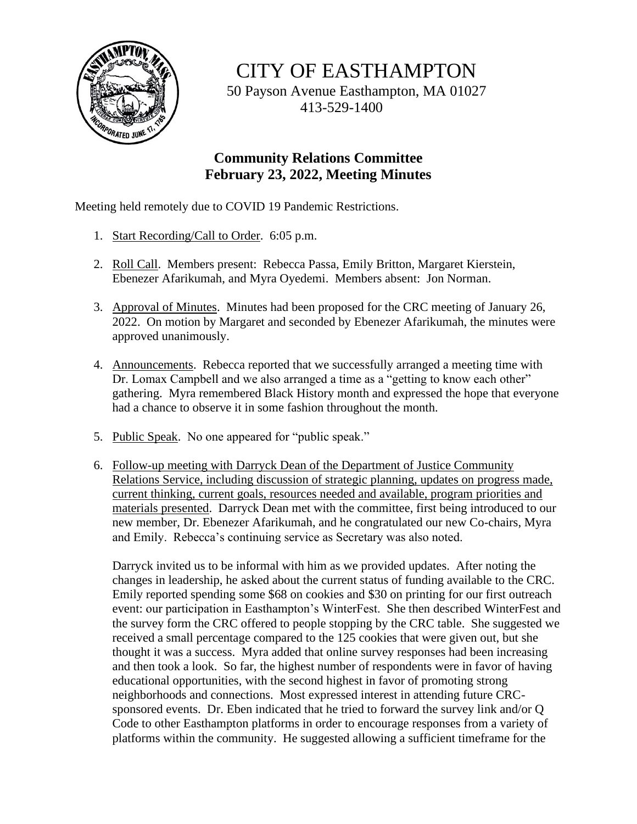

CITY OF EASTHAMPTON

50 Payson Avenue Easthampton, MA 01027 413-529-1400

## **Community Relations Committee February 23, 2022, Meeting Minutes**

Meeting held remotely due to COVID 19 Pandemic Restrictions.

- 1. Start Recording/Call to Order. 6:05 p.m.
- 2. Roll Call. Members present: Rebecca Passa, Emily Britton, Margaret Kierstein, Ebenezer Afarikumah, and Myra Oyedemi. Members absent: Jon Norman.
- 3. Approval of Minutes. Minutes had been proposed for the CRC meeting of January 26, 2022. On motion by Margaret and seconded by Ebenezer Afarikumah, the minutes were approved unanimously.
- 4. Announcements. Rebecca reported that we successfully arranged a meeting time with Dr. Lomax Campbell and we also arranged a time as a "getting to know each other" gathering. Myra remembered Black History month and expressed the hope that everyone had a chance to observe it in some fashion throughout the month.
- 5. Public Speak. No one appeared for "public speak."
- 6. Follow-up meeting with Darryck Dean of the Department of Justice Community Relations Service, including discussion of strategic planning, updates on progress made, current thinking, current goals, resources needed and available, program priorities and materials presented. Darryck Dean met with the committee, first being introduced to our new member, Dr. Ebenezer Afarikumah, and he congratulated our new Co-chairs, Myra and Emily. Rebecca's continuing service as Secretary was also noted.

Darryck invited us to be informal with him as we provided updates. After noting the changes in leadership, he asked about the current status of funding available to the CRC. Emily reported spending some \$68 on cookies and \$30 on printing for our first outreach event: our participation in Easthampton's WinterFest. She then described WinterFest and the survey form the CRC offered to people stopping by the CRC table. She suggested we received a small percentage compared to the 125 cookies that were given out, but she thought it was a success. Myra added that online survey responses had been increasing and then took a look. So far, the highest number of respondents were in favor of having educational opportunities, with the second highest in favor of promoting strong neighborhoods and connections. Most expressed interest in attending future CRCsponsored events. Dr. Eben indicated that he tried to forward the survey link and/or Q Code to other Easthampton platforms in order to encourage responses from a variety of platforms within the community. He suggested allowing a sufficient timeframe for the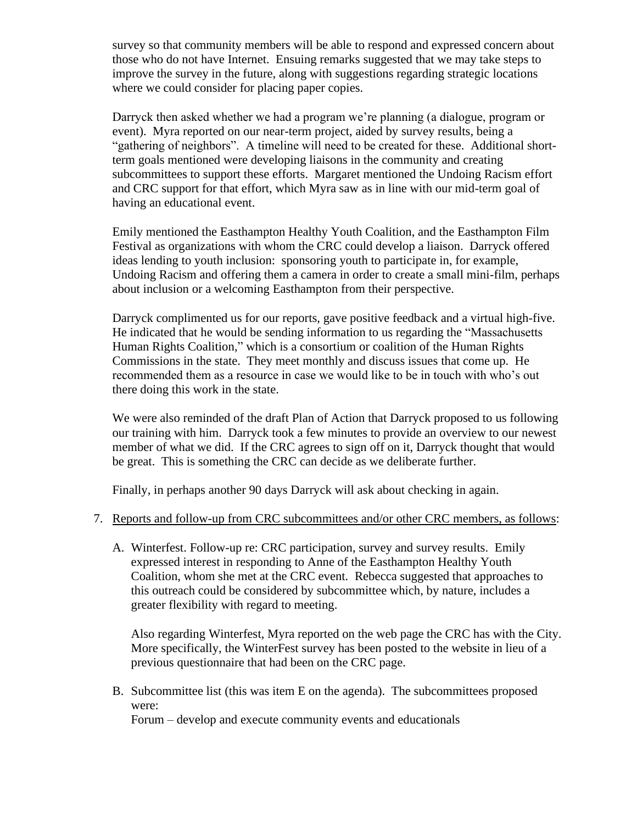survey so that community members will be able to respond and expressed concern about those who do not have Internet. Ensuing remarks suggested that we may take steps to improve the survey in the future, along with suggestions regarding strategic locations where we could consider for placing paper copies.

Darryck then asked whether we had a program we're planning (a dialogue, program or event). Myra reported on our near-term project, aided by survey results, being a "gathering of neighbors". A timeline will need to be created for these. Additional shortterm goals mentioned were developing liaisons in the community and creating subcommittees to support these efforts. Margaret mentioned the Undoing Racism effort and CRC support for that effort, which Myra saw as in line with our mid-term goal of having an educational event.

Emily mentioned the Easthampton Healthy Youth Coalition, and the Easthampton Film Festival as organizations with whom the CRC could develop a liaison. Darryck offered ideas lending to youth inclusion: sponsoring youth to participate in, for example, Undoing Racism and offering them a camera in order to create a small mini-film, perhaps about inclusion or a welcoming Easthampton from their perspective.

Darryck complimented us for our reports, gave positive feedback and a virtual high-five. He indicated that he would be sending information to us regarding the "Massachusetts Human Rights Coalition," which is a consortium or coalition of the Human Rights Commissions in the state. They meet monthly and discuss issues that come up. He recommended them as a resource in case we would like to be in touch with who's out there doing this work in the state.

We were also reminded of the draft Plan of Action that Darryck proposed to us following our training with him. Darryck took a few minutes to provide an overview to our newest member of what we did. If the CRC agrees to sign off on it, Darryck thought that would be great. This is something the CRC can decide as we deliberate further.

Finally, in perhaps another 90 days Darryck will ask about checking in again.

## 7. Reports and follow-up from CRC subcommittees and/or other CRC members, as follows:

A. Winterfest. Follow-up re: CRC participation, survey and survey results. Emily expressed interest in responding to Anne of the Easthampton Healthy Youth Coalition, whom she met at the CRC event. Rebecca suggested that approaches to this outreach could be considered by subcommittee which, by nature, includes a greater flexibility with regard to meeting.

Also regarding Winterfest, Myra reported on the web page the CRC has with the City. More specifically, the WinterFest survey has been posted to the website in lieu of a previous questionnaire that had been on the CRC page.

B. Subcommittee list (this was item E on the agenda). The subcommittees proposed were:

Forum – develop and execute community events and educationals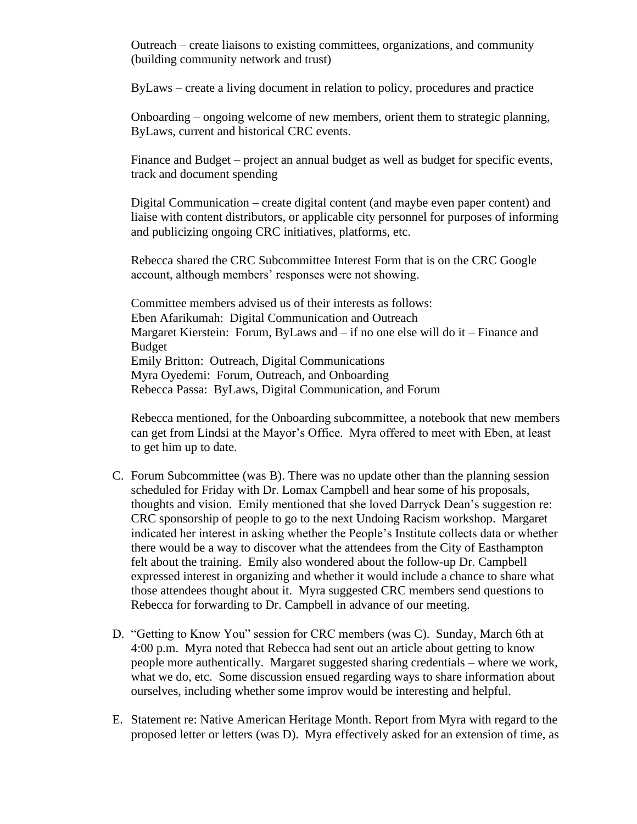Outreach – create liaisons to existing committees, organizations, and community (building community network and trust)

ByLaws – create a living document in relation to policy, procedures and practice

Onboarding – ongoing welcome of new members, orient them to strategic planning, ByLaws, current and historical CRC events.

Finance and Budget – project an annual budget as well as budget for specific events, track and document spending

Digital Communication – create digital content (and maybe even paper content) and liaise with content distributors, or applicable city personnel for purposes of informing and publicizing ongoing CRC initiatives, platforms, etc.

Rebecca shared the CRC Subcommittee Interest Form that is on the CRC Google account, although members' responses were not showing.

Committee members advised us of their interests as follows: Eben Afarikumah: Digital Communication and Outreach Margaret Kierstein: Forum, ByLaws and – if no one else will do it – Finance and Budget Emily Britton: Outreach, Digital Communications Myra Oyedemi: Forum, Outreach, and Onboarding Rebecca Passa: ByLaws, Digital Communication, and Forum

Rebecca mentioned, for the Onboarding subcommittee, a notebook that new members can get from Lindsi at the Mayor's Office. Myra offered to meet with Eben, at least to get him up to date.

- C. Forum Subcommittee (was B). There was no update other than the planning session scheduled for Friday with Dr. Lomax Campbell and hear some of his proposals, thoughts and vision. Emily mentioned that she loved Darryck Dean's suggestion re: CRC sponsorship of people to go to the next Undoing Racism workshop. Margaret indicated her interest in asking whether the People's Institute collects data or whether there would be a way to discover what the attendees from the City of Easthampton felt about the training. Emily also wondered about the follow-up Dr. Campbell expressed interest in organizing and whether it would include a chance to share what those attendees thought about it. Myra suggested CRC members send questions to Rebecca for forwarding to Dr. Campbell in advance of our meeting.
- D. "Getting to Know You" session for CRC members (was C). Sunday, March 6th at 4:00 p.m. Myra noted that Rebecca had sent out an article about getting to know people more authentically. Margaret suggested sharing credentials – where we work, what we do, etc. Some discussion ensued regarding ways to share information about ourselves, including whether some improv would be interesting and helpful.
- E. Statement re: Native American Heritage Month. Report from Myra with regard to the proposed letter or letters (was D). Myra effectively asked for an extension of time, as